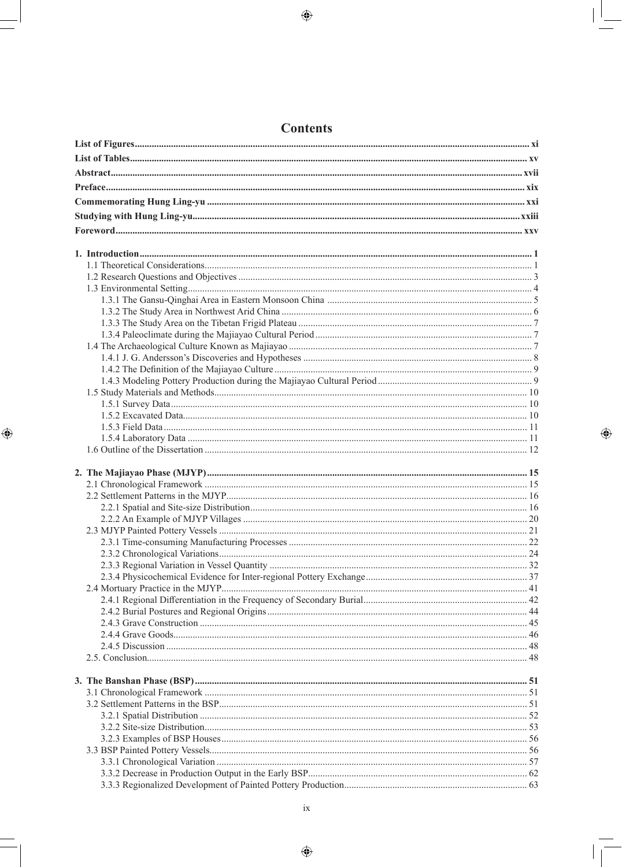## **Contents**

 $\bigoplus$ 

 $\bigoplus$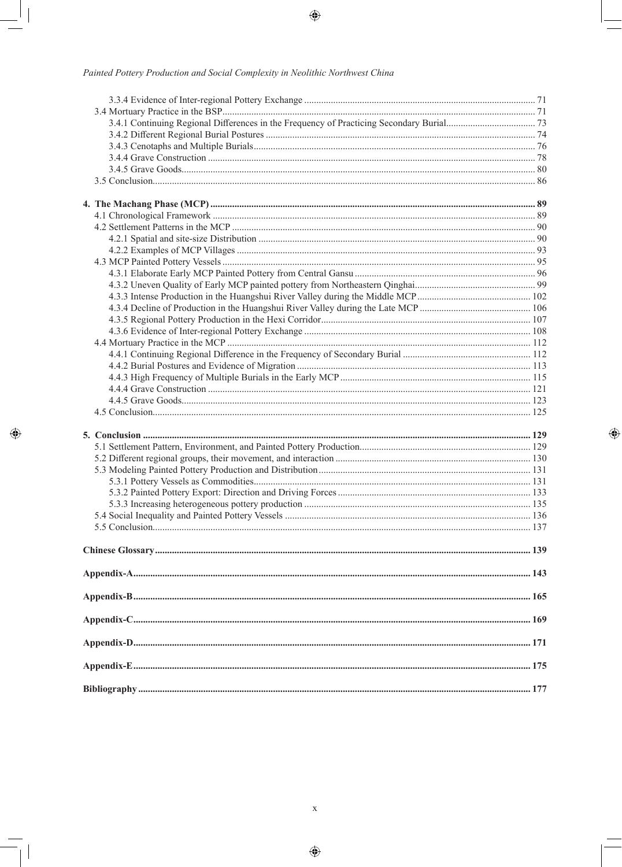#### Painted Pottery Production and Social Complexity in Neolithic Northwest China

 $\bigcirc$ 

 $\bigoplus$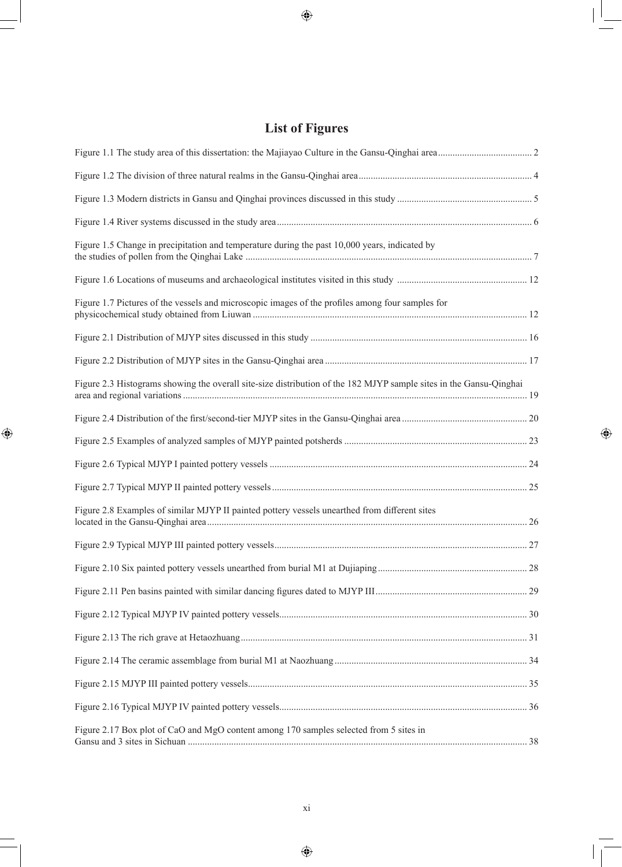# **List of Figures**

 $\bigoplus$ 

| Figure 1.5 Change in precipitation and temperature during the past 10,000 years, indicated by                      |  |
|--------------------------------------------------------------------------------------------------------------------|--|
|                                                                                                                    |  |
| Figure 1.7 Pictures of the vessels and microscopic images of the profiles among four samples for                   |  |
|                                                                                                                    |  |
|                                                                                                                    |  |
| Figure 2.3 Histograms showing the overall site-size distribution of the 182 MJYP sample sites in the Gansu-Qinghai |  |
|                                                                                                                    |  |
|                                                                                                                    |  |
|                                                                                                                    |  |
|                                                                                                                    |  |
| Figure 2.8 Examples of similar MJYP II painted pottery vessels unearthed from different sites                      |  |
|                                                                                                                    |  |
|                                                                                                                    |  |
|                                                                                                                    |  |
|                                                                                                                    |  |
|                                                                                                                    |  |
|                                                                                                                    |  |
|                                                                                                                    |  |
|                                                                                                                    |  |
| Figure 2.17 Box plot of CaO and MgO content among 170 samples selected from 5 sites in                             |  |

 $\bigoplus$ 

 $\bigoplus$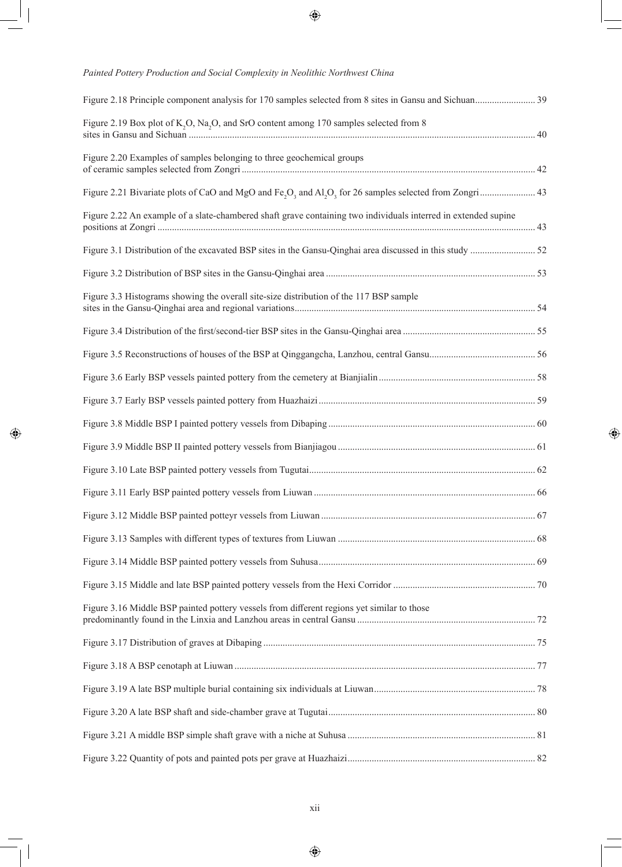#### *Painted Pottery Production and Social Complexity in Neolithic Northwest China*

 $\bigcirc \hspace{-3.0pt} \bigcirc$ 

| Figure 2.19 Box plot of K <sub>2</sub> O, Na <sub>2</sub> O, and SrO content among 170 samples selected from 8 |  |
|----------------------------------------------------------------------------------------------------------------|--|
| Figure 2.20 Examples of samples belonging to three geochemical groups                                          |  |
|                                                                                                                |  |
| Figure 2.22 An example of a slate-chambered shaft grave containing two individuals interred in extended supine |  |
|                                                                                                                |  |
|                                                                                                                |  |
| Figure 3.3 Histograms showing the overall site-size distribution of the 117 BSP sample                         |  |
|                                                                                                                |  |
|                                                                                                                |  |
|                                                                                                                |  |
|                                                                                                                |  |
|                                                                                                                |  |
|                                                                                                                |  |
|                                                                                                                |  |
|                                                                                                                |  |
|                                                                                                                |  |
|                                                                                                                |  |
|                                                                                                                |  |
|                                                                                                                |  |
| Figure 3.16 Middle BSP painted pottery vessels from different regions yet similar to those                     |  |
|                                                                                                                |  |
|                                                                                                                |  |
|                                                                                                                |  |
|                                                                                                                |  |
|                                                                                                                |  |
|                                                                                                                |  |

 $\bigoplus$ 

xii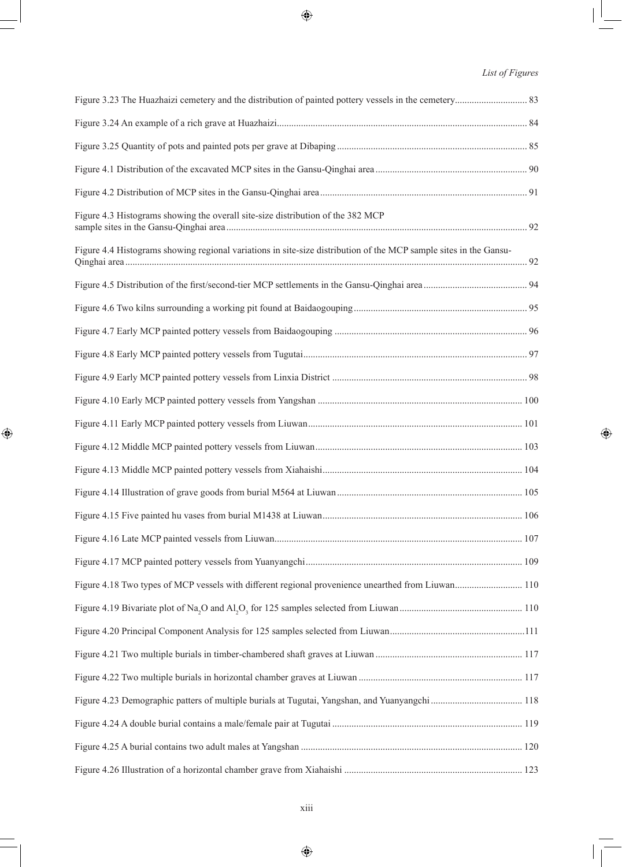### *List of Figures*

 $\bigoplus$ 

| Figure 4.3 Histograms showing the overall site-size distribution of the 382 MCP                                   |  |
|-------------------------------------------------------------------------------------------------------------------|--|
| Figure 4.4 Histograms showing regional variations in site-size distribution of the MCP sample sites in the Gansu- |  |
|                                                                                                                   |  |
|                                                                                                                   |  |
|                                                                                                                   |  |
|                                                                                                                   |  |
|                                                                                                                   |  |
|                                                                                                                   |  |
|                                                                                                                   |  |
|                                                                                                                   |  |
|                                                                                                                   |  |
|                                                                                                                   |  |
|                                                                                                                   |  |
|                                                                                                                   |  |
|                                                                                                                   |  |
| Figure 4.18 Two types of MCP vessels with different regional provenience unearthed from Liuwan 110                |  |
|                                                                                                                   |  |
|                                                                                                                   |  |
|                                                                                                                   |  |
|                                                                                                                   |  |
|                                                                                                                   |  |
|                                                                                                                   |  |
|                                                                                                                   |  |
|                                                                                                                   |  |

 $\bigoplus$